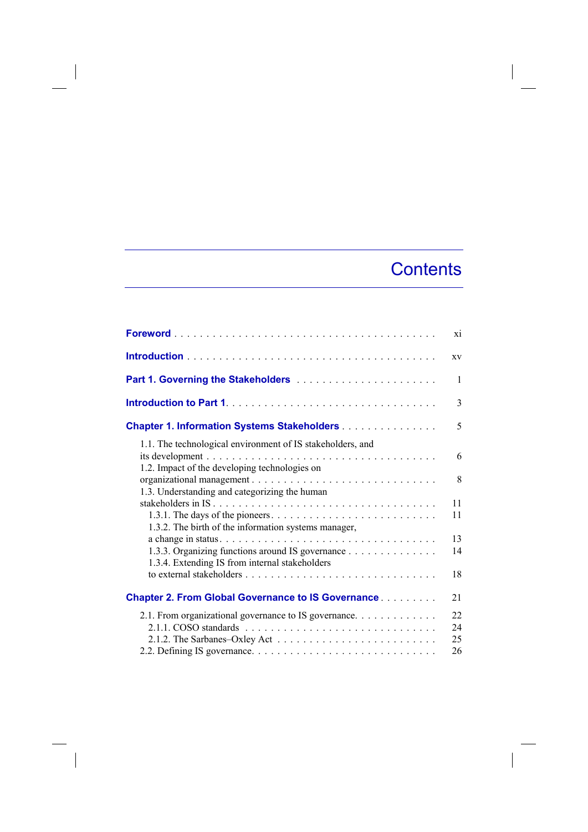## **Contents**

|                                                                                                             | X1                   |
|-------------------------------------------------------------------------------------------------------------|----------------------|
|                                                                                                             | XV                   |
|                                                                                                             | 1                    |
|                                                                                                             | 3                    |
| <b>Chapter 1. Information Systems Stakeholders</b>                                                          | 5                    |
| 1.1. The technological environment of IS stakeholders, and<br>1.2. Impact of the developing technologies on | 6<br>8               |
| 1.3. Understanding and categorizing the human<br>1.3.2. The birth of the information systems manager,       | 11<br>11             |
| 1.3.3. Organizing functions around IS governance<br>1.3.4. Extending IS from internal stakeholders          | 13<br>14             |
|                                                                                                             | 18                   |
| <b>Chapter 2. From Global Governance to IS Governance</b>                                                   | 21                   |
| 2.1. From organizational governance to IS governance.                                                       | 22<br>24<br>25<br>26 |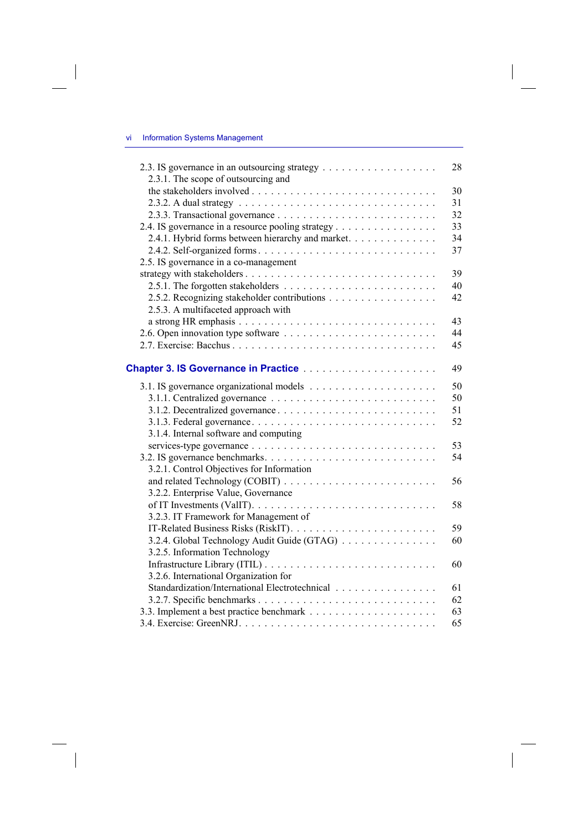$\overline{\phantom{a}}$ 

 $\overline{\phantom{a}}$ 

| 2.3.1. The scope of outsourcing and                                                                             | 28 |
|-----------------------------------------------------------------------------------------------------------------|----|
|                                                                                                                 | 30 |
|                                                                                                                 | 31 |
|                                                                                                                 | 32 |
| 2.4. IS governance in a resource pooling strategy                                                               | 33 |
| 2.4.1. Hybrid forms between hierarchy and market.                                                               | 34 |
|                                                                                                                 | 37 |
| 2.5. IS governance in a co-management                                                                           |    |
|                                                                                                                 | 39 |
|                                                                                                                 | 40 |
| 2.5.2. Recognizing stakeholder contributions                                                                    | 42 |
| 2.5.3. A multifaceted approach with                                                                             |    |
|                                                                                                                 | 43 |
|                                                                                                                 | 44 |
|                                                                                                                 | 45 |
|                                                                                                                 |    |
| <b>Chapter 3. IS Governance in Practice Material Activity Act Chapter 3. IS Governance in Practice Activity</b> | 49 |
|                                                                                                                 | 50 |
|                                                                                                                 | 50 |
|                                                                                                                 | 51 |
|                                                                                                                 | 52 |
| 3.1.4. Internal software and computing                                                                          |    |
|                                                                                                                 | 53 |
|                                                                                                                 | 54 |
| 3.2.1. Control Objectives for Information                                                                       |    |
|                                                                                                                 | 56 |
| 3.2.2. Enterprise Value, Governance                                                                             |    |
|                                                                                                                 | 58 |
| 3.2.3. IT Framework for Management of                                                                           |    |
|                                                                                                                 | 59 |
| 3.2.4. Global Technology Audit Guide (GTAG)                                                                     | 60 |
| 3.2.5. Information Technology                                                                                   |    |
|                                                                                                                 | 60 |
| 3.2.6. International Organization for                                                                           |    |
| Standardization/International Electrotechnical                                                                  | 61 |
|                                                                                                                 | 62 |
|                                                                                                                 | 63 |
|                                                                                                                 | 65 |
|                                                                                                                 |    |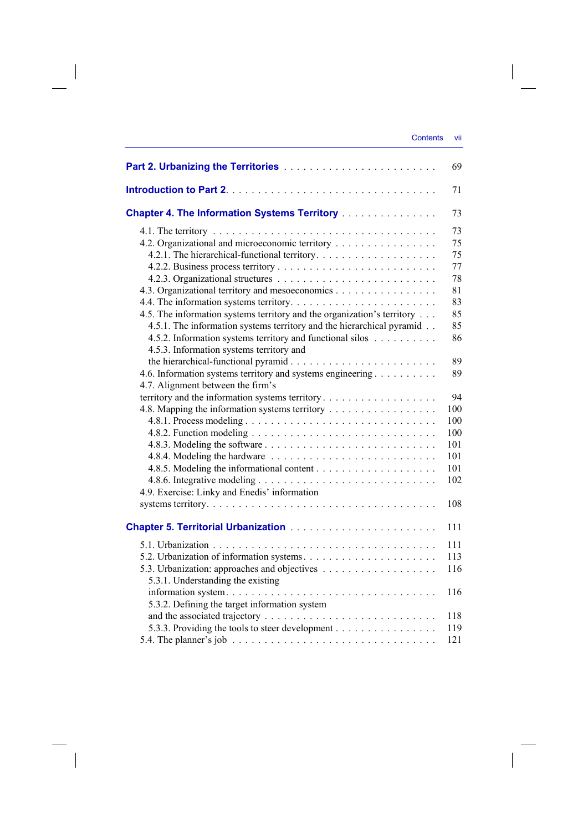$\overline{\phantom{a}}$ 

|                                                                                                       | 69  |
|-------------------------------------------------------------------------------------------------------|-----|
|                                                                                                       | 71  |
| <b>Chapter 4. The Information Systems Territory </b>                                                  | 73  |
|                                                                                                       | 73  |
| 4.2. Organizational and microeconomic territory                                                       | 75  |
|                                                                                                       | 75  |
|                                                                                                       | 77  |
|                                                                                                       | 78  |
| 4.3. Organizational territory and mesoeconomics                                                       | 81  |
|                                                                                                       | 83  |
| 4.5. The information systems territory and the organization's territory                               | 85  |
| 4.5.1. The information systems territory and the hierarchical pyramid                                 | 85  |
| 4.5.2. Information systems territory and functional silos                                             | 86  |
| 4.5.3. Information systems territory and                                                              |     |
|                                                                                                       | 89  |
| 4.6. Information systems territory and systems engineering                                            | 89  |
| 4.7. Alignment between the firm's                                                                     |     |
|                                                                                                       | 94  |
| 4.8. Mapping the information systems territory                                                        | 100 |
|                                                                                                       | 100 |
|                                                                                                       | 100 |
|                                                                                                       | 101 |
|                                                                                                       | 101 |
|                                                                                                       | 101 |
|                                                                                                       | 102 |
| 4.9. Exercise: Linky and Enedis' information                                                          |     |
|                                                                                                       | 108 |
|                                                                                                       | 111 |
|                                                                                                       | 111 |
|                                                                                                       | 113 |
|                                                                                                       | 116 |
| 5.3.1. Understanding the existing                                                                     |     |
|                                                                                                       | 116 |
| 5.3.2. Defining the target information system                                                         |     |
|                                                                                                       | 118 |
| 5.3.3. Providing the tools to steer development                                                       | 119 |
| 5.4. The planner's job $\ldots \ldots \ldots \ldots \ldots \ldots \ldots \ldots \ldots \ldots \ldots$ | 121 |

 $\overline{\phantom{a}}$ 

 $\begin{array}{c} \hline \end{array}$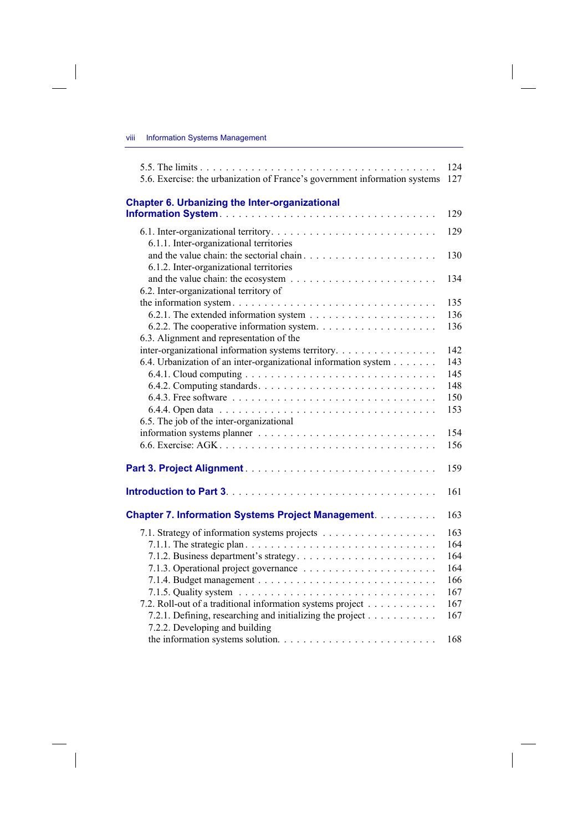$\overline{\phantom{a}}$ 

| 5.6. Exercise: the urbanization of France's government information systems                        | 124<br>127 |
|---------------------------------------------------------------------------------------------------|------------|
|                                                                                                   |            |
| <b>Chapter 6. Urbanizing the Inter-organizational</b>                                             | 129        |
|                                                                                                   |            |
|                                                                                                   | 129        |
| 6.1.1. Inter-organizational territories                                                           |            |
|                                                                                                   | 130        |
| 6.1.2. Inter-organizational territories                                                           |            |
| and the value chain: the ecosystem $\ldots \ldots \ldots \ldots \ldots \ldots \ldots$             | 134        |
| 6.2. Inter-organizational territory of                                                            |            |
| the information system. $\dots \dots \dots \dots \dots \dots \dots \dots \dots \dots \dots \dots$ | 135        |
|                                                                                                   | 136        |
|                                                                                                   | 136        |
| 6.3. Alignment and representation of the                                                          |            |
| inter-organizational information systems territory.                                               | 142        |
| 6.4. Urbanization of an inter-organizational information system                                   | 143        |
|                                                                                                   | 145        |
|                                                                                                   | 148        |
|                                                                                                   | 150        |
|                                                                                                   | 153        |
| 6.5. The job of the inter-organizational                                                          |            |
|                                                                                                   | 154        |
|                                                                                                   | 156        |
|                                                                                                   | 159        |
|                                                                                                   | 161        |
| <b>Chapter 7. Information Systems Project Management.</b>                                         | 163        |
|                                                                                                   | 163        |
|                                                                                                   | 164        |
|                                                                                                   | 164        |
|                                                                                                   | 164        |
|                                                                                                   | 166        |
|                                                                                                   | 167        |
| 7.2. Roll-out of a traditional information systems project                                        | 167        |
| 7.2.1. Defining, researching and initializing the project                                         | 167        |
| 7.2.2. Developing and building                                                                    |            |
|                                                                                                   | 168        |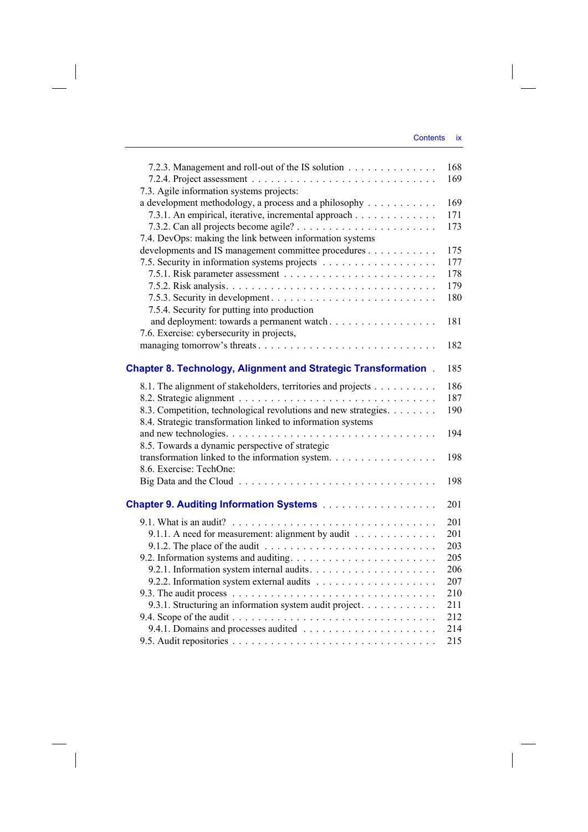| 7.2.3. Management and roll-out of the IS solution                                       | 168 |
|-----------------------------------------------------------------------------------------|-----|
|                                                                                         | 169 |
| 7.3. Agile information systems projects:                                                |     |
| a development methodology, a process and a philosophy                                   | 169 |
| 7.3.1. An empirical, iterative, incremental approach                                    | 171 |
|                                                                                         | 173 |
| 7.4. DevOps: making the link between information systems                                |     |
| developments and IS management committee procedures                                     | 175 |
| 7.5. Security in information systems projects                                           | 177 |
|                                                                                         | 178 |
|                                                                                         | 179 |
|                                                                                         | 180 |
| 7.5.4. Security for putting into production                                             |     |
| and deployment: towards a permanent watch                                               | 181 |
| 7.6. Exercise: cybersecurity in projects,                                               |     |
|                                                                                         | 182 |
|                                                                                         |     |
| <b>Chapter 8. Technology, Alignment and Strategic Transformation</b> .                  | 185 |
|                                                                                         | 186 |
| 8.1. The alignment of stakeholders, territories and projects                            |     |
|                                                                                         | 187 |
| 8.3. Competition, technological revolutions and new strategies.                         | 190 |
| 8.4. Strategic transformation linked to information systems                             |     |
|                                                                                         | 194 |
| 8.5. Towards a dynamic perspective of strategic                                         |     |
| transformation linked to the information system.                                        | 198 |
| 8.6. Exercise: TechOne:                                                                 |     |
|                                                                                         | 198 |
|                                                                                         | 201 |
|                                                                                         |     |
|                                                                                         | 201 |
| 9.1.1. A need for measurement: alignment by audit                                       | 201 |
| 9.1.2. The place of the audit $\ldots \ldots \ldots \ldots \ldots \ldots \ldots \ldots$ | 203 |
|                                                                                         | 205 |
|                                                                                         | 206 |
|                                                                                         | 207 |
|                                                                                         | 210 |
| 9.3.1. Structuring an information system audit project.                                 | 211 |
|                                                                                         | 212 |
|                                                                                         | 214 |
|                                                                                         | 215 |